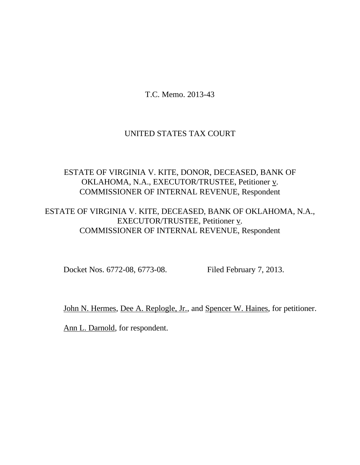T.C. Memo. 2013-43

## UNITED STATES TAX COURT

# ESTATE OF VIRGINIA V. KITE, DONOR, DECEASED, BANK OF OKLAHOMA, N.A., EXECUTOR/TRUSTEE, Petitioner v. COMMISSIONER OF INTERNAL REVENUE, Respondent

# ESTATE OF VIRGINIA V. KITE, DECEASED, BANK OF OKLAHOMA, N.A., EXECUTOR/TRUSTEE, Petitioner v. COMMISSIONER OF INTERNAL REVENUE, Respondent

Docket Nos. 6772-08, 6773-08. Filed February 7, 2013.

John N. Hermes, Dee A. Replogle, Jr., and Spencer W. Haines, for petitioner.

Ann L. Darnold, for respondent.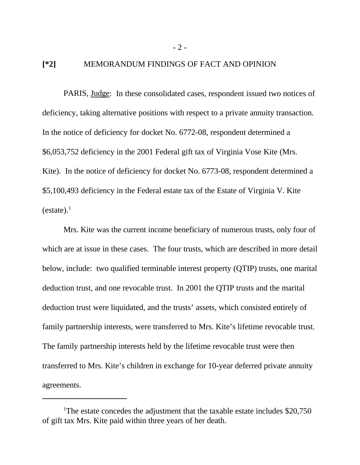#### **[\*2]** MEMORANDUM FINDINGS OF FACT AND OPINION

PARIS, Judge: In these consolidated cases, respondent issued two notices of deficiency, taking alternative positions with respect to a private annuity transaction. In the notice of deficiency for docket No. 6772-08, respondent determined a \$6,053,752 deficiency in the 2001 Federal gift tax of Virginia Vose Kite (Mrs. Kite). In the notice of deficiency for docket No. 6773-08, respondent determined a \$5,100,493 deficiency in the Federal estate tax of the Estate of Virginia V. Kite  $(estate).<sup>1</sup>$ 

Mrs. Kite was the current income beneficiary of numerous trusts, only four of which are at issue in these cases. The four trusts, which are described in more detail below, include: two qualified terminable interest property (QTIP) trusts, one marital deduction trust, and one revocable trust. In 2001 the QTIP trusts and the marital deduction trust were liquidated, and the trusts' assets, which consisted entirely of family partnership interests, were transferred to Mrs. Kite's lifetime revocable trust. The family partnership interests held by the lifetime revocable trust were then transferred to Mrs. Kite's children in exchange for 10-year deferred private annuity agreements.

- 2 -

<sup>&</sup>lt;sup>1</sup>The estate concedes the adjustment that the taxable estate includes \$20,750 of gift tax Mrs. Kite paid within three years of her death.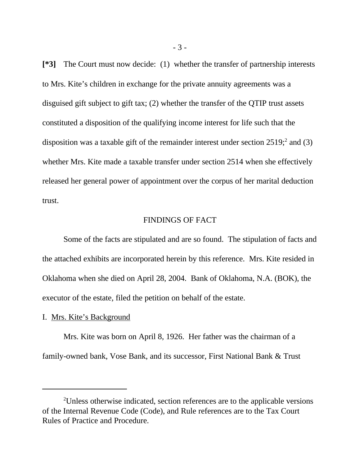**[\*3]** The Court must now decide: (1) whether the transfer of partnership interests to Mrs. Kite's children in exchange for the private annuity agreements was a disguised gift subject to gift tax; (2) whether the transfer of the QTIP trust assets constituted a disposition of the qualifying income interest for life such that the disposition was a taxable gift of the remainder interest under section  $2519$ ; and (3) whether Mrs. Kite made a taxable transfer under section 2514 when she effectively released her general power of appointment over the corpus of her marital deduction trust.

## FINDINGS OF FACT

Some of the facts are stipulated and are so found. The stipulation of facts and the attached exhibits are incorporated herein by this reference. Mrs. Kite resided in Oklahoma when she died on April 28, 2004. Bank of Oklahoma, N.A. (BOK), the executor of the estate, filed the petition on behalf of the estate.

#### I. Mrs. Kite's Background

Mrs. Kite was born on April 8, 1926. Her father was the chairman of a family-owned bank, Vose Bank, and its successor, First National Bank & Trust

<sup>2</sup>Unless otherwise indicated, section references are to the applicable versions of the Internal Revenue Code (Code), and Rule references are to the Tax Court Rules of Practice and Procedure.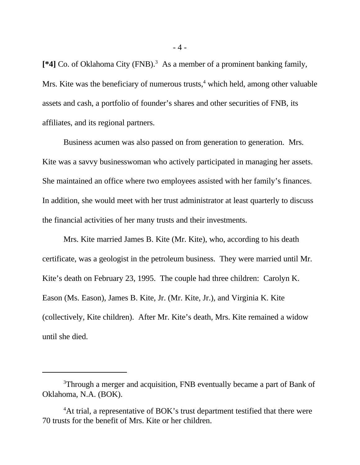[\*4] Co. of Oklahoma City (FNB).<sup>3</sup> As a member of a prominent banking family, Mrs. Kite was the beneficiary of numerous trusts,<sup>4</sup> which held, among other valuable assets and cash, a portfolio of founder's shares and other securities of FNB, its affiliates, and its regional partners.

Business acumen was also passed on from generation to generation. Mrs. Kite was a savvy businesswoman who actively participated in managing her assets. She maintained an office where two employees assisted with her family's finances. In addition, she would meet with her trust administrator at least quarterly to discuss the financial activities of her many trusts and their investments.

Mrs. Kite married James B. Kite (Mr. Kite), who, according to his death certificate, was a geologist in the petroleum business. They were married until Mr. Kite's death on February 23, 1995. The couple had three children: Carolyn K. Eason (Ms. Eason), James B. Kite, Jr. (Mr. Kite, Jr.), and Virginia K. Kite (collectively, Kite children). After Mr. Kite's death, Mrs. Kite remained a widow until she died.

<sup>&</sup>lt;sup>3</sup>Through a merger and acquisition, FNB eventually became a part of Bank of Oklahoma, N.A. (BOK).

<sup>&</sup>lt;sup>4</sup>At trial, a representative of BOK's trust department testified that there were 70 trusts for the benefit of Mrs. Kite or her children.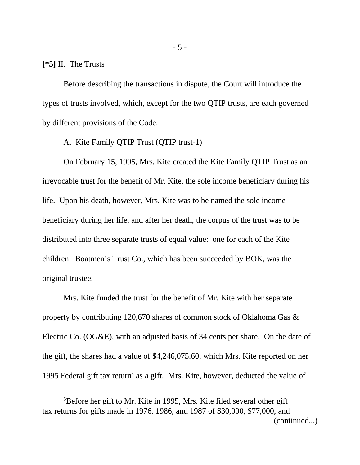## **[\*5]** II. The Trusts

Before describing the transactions in dispute, the Court will introduce the types of trusts involved, which, except for the two QTIP trusts, are each governed by different provisions of the Code.

## A. Kite Family QTIP Trust (QTIP trust-1)

On February 15, 1995, Mrs. Kite created the Kite Family QTIP Trust as an irrevocable trust for the benefit of Mr. Kite, the sole income beneficiary during his life. Upon his death, however, Mrs. Kite was to be named the sole income beneficiary during her life, and after her death, the corpus of the trust was to be distributed into three separate trusts of equal value: one for each of the Kite children. Boatmen's Trust Co., which has been succeeded by BOK, was the original trustee.

Mrs. Kite funded the trust for the benefit of Mr. Kite with her separate property by contributing 120,670 shares of common stock of Oklahoma Gas & Electric Co. (OG&E), with an adjusted basis of 34 cents per share. On the date of the gift, the shares had a value of \$4,246,075.60, which Mrs. Kite reported on her 1995 Federal gift tax return<sup>5</sup> as a gift. Mrs. Kite, however, deducted the value of

<sup>5</sup>Before her gift to Mr. Kite in 1995, Mrs. Kite filed several other gift tax returns for gifts made in 1976, 1986, and 1987 of \$30,000, \$77,000, and (continued...)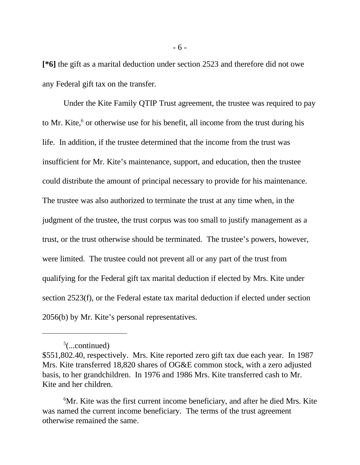**[\*6]** the gift as a marital deduction under section 2523 and therefore did not owe any Federal gift tax on the transfer.

Under the Kite Family QTIP Trust agreement, the trustee was required to pay to Mr. Kite, $6$  or otherwise use for his benefit, all income from the trust during his life. In addition, if the trustee determined that the income from the trust was insufficient for Mr. Kite's maintenance, support, and education, then the trustee could distribute the amount of principal necessary to provide for his maintenance. The trustee was also authorized to terminate the trust at any time when, in the judgment of the trustee, the trust corpus was too small to justify management as a trust, or the trust otherwise should be terminated. The trustee's powers, however, were limited. The trustee could not prevent all or any part of the trust from qualifying for the Federal gift tax marital deduction if elected by Mrs. Kite under section 2523(f), or the Federal estate tax marital deduction if elected under section 2056(b) by Mr. Kite's personal representatives.

 $5$ (...continued)

<sup>\$551,802.40,</sup> respectively. Mrs. Kite reported zero gift tax due each year. In 1987 Mrs. Kite transferred 18,820 shares of OG&E common stock, with a zero adjusted basis, to her grandchildren. In 1976 and 1986 Mrs. Kite transferred cash to Mr. Kite and her children.

<sup>6</sup>Mr. Kite was the first current income beneficiary, and after he died Mrs. Kite was named the current income beneficiary. The terms of the trust agreement otherwise remained the same.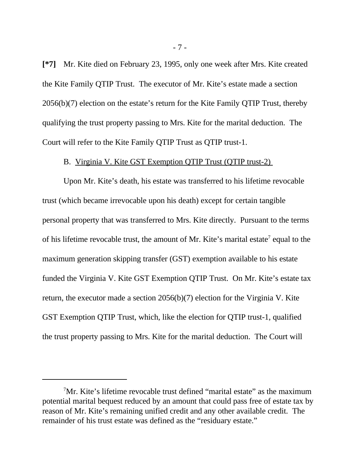**[\*7]** Mr. Kite died on February 23, 1995, only one week after Mrs. Kite created the Kite Family QTIP Trust. The executor of Mr. Kite's estate made a section 2056(b)(7) election on the estate's return for the Kite Family QTIP Trust, thereby qualifying the trust property passing to Mrs. Kite for the marital deduction. The Court will refer to the Kite Family QTIP Trust as QTIP trust-1.

## B. Virginia V. Kite GST Exemption QTIP Trust (QTIP trust-2)

Upon Mr. Kite's death, his estate was transferred to his lifetime revocable trust (which became irrevocable upon his death) except for certain tangible personal property that was transferred to Mrs. Kite directly. Pursuant to the terms of his lifetime revocable trust, the amount of Mr. Kite's marital estate<sup>7</sup> equal to the maximum generation skipping transfer (GST) exemption available to his estate funded the Virginia V. Kite GST Exemption QTIP Trust. On Mr. Kite's estate tax return, the executor made a section 2056(b)(7) election for the Virginia V. Kite GST Exemption QTIP Trust, which, like the election for QTIP trust-1, qualified the trust property passing to Mrs. Kite for the marital deduction. The Court will

<sup>7</sup>Mr. Kite's lifetime revocable trust defined "marital estate" as the maximum potential marital bequest reduced by an amount that could pass free of estate tax by reason of Mr. Kite's remaining unified credit and any other available credit. The remainder of his trust estate was defined as the "residuary estate."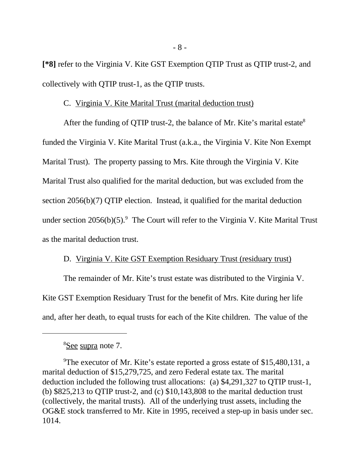**[\*8]** refer to the Virginia V. Kite GST Exemption QTIP Trust as QTIP trust-2, and collectively with QTIP trust-1, as the QTIP trusts.

## C. Virginia V. Kite Marital Trust (marital deduction trust)

After the funding of QTIP trust-2, the balance of Mr. Kite's marital estate<sup>8</sup> funded the Virginia V. Kite Marital Trust (a.k.a., the Virginia V. Kite Non Exempt Marital Trust). The property passing to Mrs. Kite through the Virginia V. Kite Marital Trust also qualified for the marital deduction, but was excluded from the section 2056(b)(7) QTIP election. Instead, it qualified for the marital deduction under section  $2056(b)(5)$ .<sup>9</sup> The Court will refer to the Virginia V. Kite Marital Trust as the marital deduction trust.

## D. Virginia V. Kite GST Exemption Residuary Trust (residuary trust)

The remainder of Mr. Kite's trust estate was distributed to the Virginia V. Kite GST Exemption Residuary Trust for the benefit of Mrs. Kite during her life and, after her death, to equal trusts for each of the Kite children. The value of the

<sup>8</sup>See supra note 7.

<sup>&</sup>lt;sup>9</sup>The executor of Mr. Kite's estate reported a gross estate of \$15,480,131, a marital deduction of \$15,279,725, and zero Federal estate tax. The marital deduction included the following trust allocations: (a) \$4,291,327 to QTIP trust-1, (b)  $$825,213$  to QTIP trust-2, and (c)  $$10,143,808$  to the marital deduction trust (collectively, the marital trusts). All of the underlying trust assets, including the OG&E stock transferred to Mr. Kite in 1995, received a step-up in basis under sec. 1014.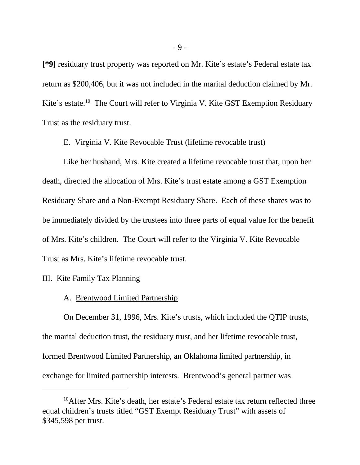**[\*9]** residuary trust property was reported on Mr. Kite's estate's Federal estate tax return as \$200,406, but it was not included in the marital deduction claimed by Mr. Kite's estate.<sup>10</sup> The Court will refer to Virginia V. Kite GST Exemption Residuary Trust as the residuary trust.

## E. Virginia V. Kite Revocable Trust (lifetime revocable trust)

Like her husband, Mrs. Kite created a lifetime revocable trust that, upon her death, directed the allocation of Mrs. Kite's trust estate among a GST Exemption Residuary Share and a Non-Exempt Residuary Share. Each of these shares was to be immediately divided by the trustees into three parts of equal value for the benefit of Mrs. Kite's children. The Court will refer to the Virginia V. Kite Revocable Trust as Mrs. Kite's lifetime revocable trust.

#### III. Kite Family Tax Planning

#### A. Brentwood Limited Partnership

On December 31, 1996, Mrs. Kite's trusts, which included the QTIP trusts, the marital deduction trust, the residuary trust, and her lifetime revocable trust, formed Brentwood Limited Partnership, an Oklahoma limited partnership, in exchange for limited partnership interests. Brentwood's general partner was

<sup>&</sup>lt;sup>10</sup>After Mrs. Kite's death, her estate's Federal estate tax return reflected three equal children's trusts titled "GST Exempt Residuary Trust" with assets of \$345,598 per trust.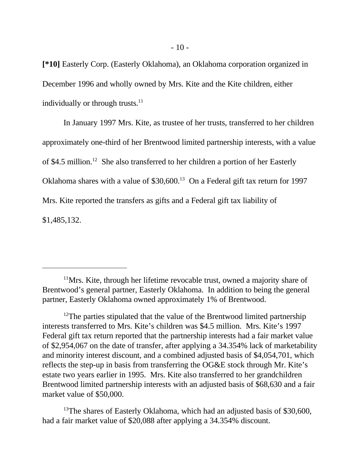**[\*10]** Easterly Corp. (Easterly Oklahoma), an Oklahoma corporation organized in December 1996 and wholly owned by Mrs. Kite and the Kite children, either individually or through trusts.<sup>11</sup>

In January 1997 Mrs. Kite, as trustee of her trusts, transferred to her children approximately one-third of her Brentwood limited partnership interests, with a value of \$4.5 million.<sup>12</sup> She also transferred to her children a portion of her Easterly Oklahoma shares with a value of  $$30,600$ .<sup>13</sup> On a Federal gift tax return for 1997 Mrs. Kite reported the transfers as gifts and a Federal gift tax liability of \$1,485,132.

 $11$ Mrs. Kite, through her lifetime revocable trust, owned a majority share of Brentwood's general partner, Easterly Oklahoma. In addition to being the general partner, Easterly Oklahoma owned approximately 1% of Brentwood.

<sup>&</sup>lt;sup>12</sup>The parties stipulated that the value of the Brentwood limited partnership interests transferred to Mrs. Kite's children was \$4.5 million. Mrs. Kite's 1997 Federal gift tax return reported that the partnership interests had a fair market value of \$2,954,067 on the date of transfer, after applying a 34.354% lack of marketability and minority interest discount, and a combined adjusted basis of \$4,054,701, which reflects the step-up in basis from transferring the OG&E stock through Mr. Kite's estate two years earlier in 1995. Mrs. Kite also transferred to her grandchildren Brentwood limited partnership interests with an adjusted basis of \$68,630 and a fair market value of \$50,000.

<sup>&</sup>lt;sup>13</sup>The shares of Easterly Oklahoma, which had an adjusted basis of \$30,600, had a fair market value of \$20,088 after applying a 34.354% discount.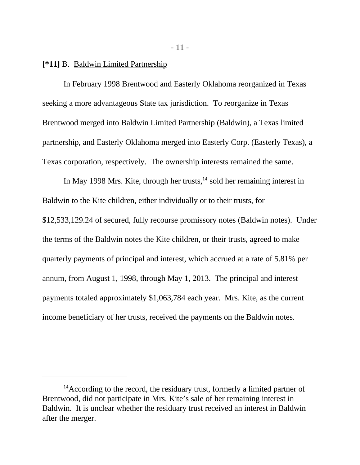#### **[\*11]** B. Baldwin Limited Partnership

In February 1998 Brentwood and Easterly Oklahoma reorganized in Texas seeking a more advantageous State tax jurisdiction. To reorganize in Texas Brentwood merged into Baldwin Limited Partnership (Baldwin), a Texas limited partnership, and Easterly Oklahoma merged into Easterly Corp. (Easterly Texas), a Texas corporation, respectively. The ownership interests remained the same.

In May 1998 Mrs. Kite, through her trusts,  $14$  sold her remaining interest in Baldwin to the Kite children, either individually or to their trusts, for \$12,533,129.24 of secured, fully recourse promissory notes (Baldwin notes). Under the terms of the Baldwin notes the Kite children, or their trusts, agreed to make quarterly payments of principal and interest, which accrued at a rate of 5.81% per annum, from August 1, 1998, through May 1, 2013. The principal and interest payments totaled approximately \$1,063,784 each year. Mrs. Kite, as the current income beneficiary of her trusts, received the payments on the Baldwin notes.

<sup>&</sup>lt;sup>14</sup> According to the record, the residuary trust, formerly a limited partner of Brentwood, did not participate in Mrs. Kite's sale of her remaining interest in Baldwin. It is unclear whether the residuary trust received an interest in Baldwin after the merger.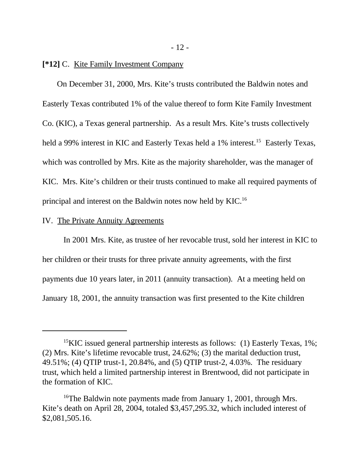#### **[\*12]** C. Kite Family Investment Company

On December 31, 2000, Mrs. Kite's trusts contributed the Baldwin notes and Easterly Texas contributed 1% of the value thereof to form Kite Family Investment Co. (KIC), a Texas general partnership. As a result Mrs. Kite's trusts collectively held a 99% interest in KIC and Easterly Texas held a 1% interest.<sup>15</sup> Easterly Texas, which was controlled by Mrs. Kite as the majority shareholder, was the manager of KIC. Mrs. Kite's children or their trusts continued to make all required payments of principal and interest on the Baldwin notes now held by KIC.<sup>16</sup>

## IV. The Private Annuity Agreements

In 2001 Mrs. Kite, as trustee of her revocable trust, sold her interest in KIC to her children or their trusts for three private annuity agreements, with the first payments due 10 years later, in 2011 (annuity transaction). At a meeting held on January 18, 2001, the annuity transaction was first presented to the Kite children

<sup>&</sup>lt;sup>15</sup>KIC issued general partnership interests as follows: (1) Easterly Texas, 1%; (2) Mrs. Kite's lifetime revocable trust, 24.62%; (3) the marital deduction trust, 49.51%; (4) QTIP trust-1, 20.84%, and (5) QTIP trust-2, 4.03%. The residuary trust, which held a limited partnership interest in Brentwood, did not participate in the formation of KIC.

<sup>&</sup>lt;sup>16</sup>The Baldwin note payments made from January 1, 2001, through Mrs. Kite's death on April 28, 2004, totaled \$3,457,295.32, which included interest of \$2,081,505.16.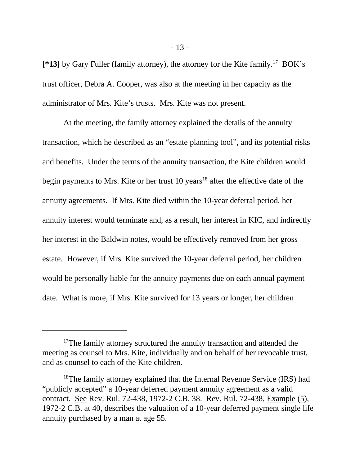**[\*13]** by Gary Fuller (family attorney), the attorney for the Kite family.<sup>17</sup> BOK's trust officer, Debra A. Cooper, was also at the meeting in her capacity as the administrator of Mrs. Kite's trusts. Mrs. Kite was not present.

At the meeting, the family attorney explained the details of the annuity transaction, which he described as an "estate planning tool", and its potential risks and benefits. Under the terms of the annuity transaction, the Kite children would begin payments to Mrs. Kite or her trust  $10$  years<sup>18</sup> after the effective date of the annuity agreements. If Mrs. Kite died within the 10-year deferral period, her annuity interest would terminate and, as a result, her interest in KIC, and indirectly her interest in the Baldwin notes, would be effectively removed from her gross estate. However, if Mrs. Kite survived the 10-year deferral period, her children would be personally liable for the annuity payments due on each annual payment date. What is more, if Mrs. Kite survived for 13 years or longer, her children

<sup>&</sup>lt;sup>17</sup>The family attorney structured the annuity transaction and attended the meeting as counsel to Mrs. Kite, individually and on behalf of her revocable trust, and as counsel to each of the Kite children.

<sup>&</sup>lt;sup>18</sup>The family attorney explained that the Internal Revenue Service (IRS) had "publicly accepted" a 10-year deferred payment annuity agreement as a valid contract. See Rev. Rul. 72-438, 1972-2 C.B. 38. Rev. Rul. 72-438, Example (5), 1972-2 C.B. at 40, describes the valuation of a 10-year deferred payment single life annuity purchased by a man at age 55.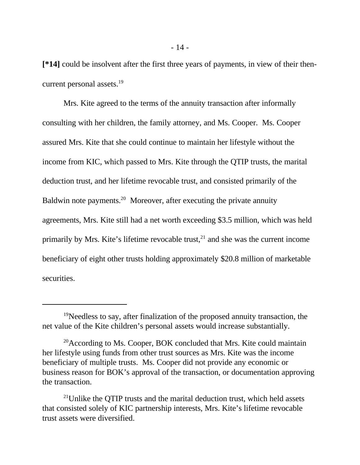**[\*14]** could be insolvent after the first three years of payments, in view of their thencurrent personal assets.<sup>19</sup>

Mrs. Kite agreed to the terms of the annuity transaction after informally consulting with her children, the family attorney, and Ms. Cooper. Ms. Cooper assured Mrs. Kite that she could continue to maintain her lifestyle without the income from KIC, which passed to Mrs. Kite through the QTIP trusts, the marital deduction trust, and her lifetime revocable trust, and consisted primarily of the Baldwin note payments.<sup>20</sup> Moreover, after executing the private annuity agreements, Mrs. Kite still had a net worth exceeding \$3.5 million, which was held primarily by Mrs. Kite's lifetime revocable trust, $^{21}$  and she was the current income beneficiary of eight other trusts holding approximately \$20.8 million of marketable securities.

 $19$ Needless to say, after finalization of the proposed annuity transaction, the net value of the Kite children's personal assets would increase substantially.

 $20$ According to Ms. Cooper, BOK concluded that Mrs. Kite could maintain her lifestyle using funds from other trust sources as Mrs. Kite was the income beneficiary of multiple trusts. Ms. Cooper did not provide any economic or business reason for BOK's approval of the transaction, or documentation approving the transaction.

<sup>&</sup>lt;sup>21</sup>Unlike the OTIP trusts and the marital deduction trust, which held assets that consisted solely of KIC partnership interests, Mrs. Kite's lifetime revocable trust assets were diversified.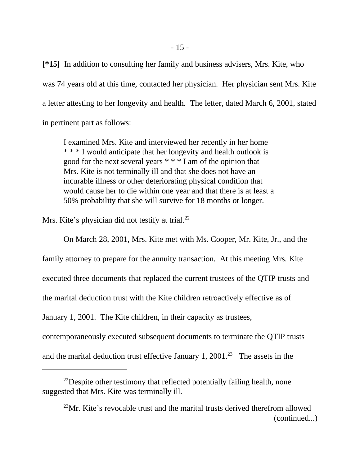**[\*15]** In addition to consulting her family and business advisers, Mrs. Kite, who was 74 years old at this time, contacted her physician. Her physician sent Mrs. Kite a letter attesting to her longevity and health. The letter, dated March 6, 2001, stated in pertinent part as follows:

I examined Mrs. Kite and interviewed her recently in her home \* \* \* I would anticipate that her longevity and health outlook is good for the next several years \* \* \* I am of the opinion that Mrs. Kite is not terminally ill and that she does not have an incurable illness or other deteriorating physical condition that would cause her to die within one year and that there is at least a 50% probability that she will survive for 18 months or longer.

Mrs. Kite's physician did not testify at trial.<sup>22</sup>

On March 28, 2001, Mrs. Kite met with Ms. Cooper, Mr. Kite, Jr., and the family attorney to prepare for the annuity transaction. At this meeting Mrs. Kite executed three documents that replaced the current trustees of the QTIP trusts and the marital deduction trust with the Kite children retroactively effective as of January 1, 2001. The Kite children, in their capacity as trustees, contemporaneously executed subsequent documents to terminate the QTIP trusts and the marital deduction trust effective January 1, 2001.<sup>23</sup> The assets in the

 $^{22}$ Despite other testimony that reflected potentially failing health, none suggested that Mrs. Kite was terminally ill.

 $^{23}$ Mr. Kite's revocable trust and the marital trusts derived therefrom allowed (continued...)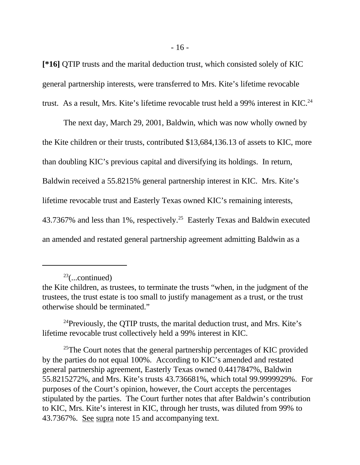**[\*16]** QTIP trusts and the marital deduction trust, which consisted solely of KIC general partnership interests, were transferred to Mrs. Kite's lifetime revocable trust. As a result, Mrs. Kite's lifetime revocable trust held a 99% interest in KIC.<sup>24</sup>

The next day, March 29, 2001, Baldwin, which was now wholly owned by the Kite children or their trusts, contributed \$13,684,136.13 of assets to KIC, more than doubling KIC's previous capital and diversifying its holdings. In return, Baldwin received a 55.8215% general partnership interest in KIC. Mrs. Kite's lifetime revocable trust and Easterly Texas owned KIC's remaining interests, 43.7367% and less than 1%, respectively.<sup>25</sup> Easterly Texas and Baldwin executed an amended and restated general partnership agreement admitting Baldwin as a

 $23$ (...continued)

 $^{24}$ Previously, the QTIP trusts, the marital deduction trust, and Mrs. Kite's lifetime revocable trust collectively held a 99% interest in KIC.

 $25$ The Court notes that the general partnership percentages of KIC provided by the parties do not equal 100%. According to KIC's amended and restated general partnership agreement, Easterly Texas owned 0.4417847%, Baldwin 55.8215272%, and Mrs. Kite's trusts 43.736681%, which total 99.9999929%. For purposes of the Court's opinion, however, the Court accepts the percentages stipulated by the parties. The Court further notes that after Baldwin's contribution to KIC, Mrs. Kite's interest in KIC, through her trusts, was diluted from 99% to 43.7367%. See supra note 15 and accompanying text.

the Kite children, as trustees, to terminate the trusts "when, in the judgment of the trustees, the trust estate is too small to justify management as a trust, or the trust otherwise should be terminated."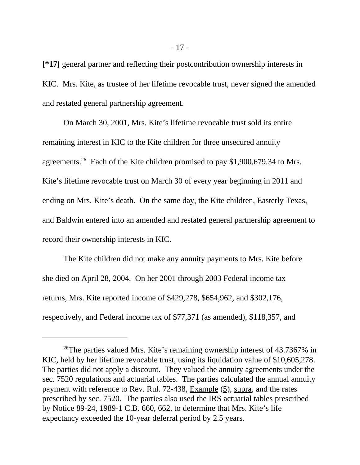**[\*17]** general partner and reflecting their postcontribution ownership interests in KIC. Mrs. Kite, as trustee of her lifetime revocable trust, never signed the amended and restated general partnership agreement.

On March 30, 2001, Mrs. Kite's lifetime revocable trust sold its entire remaining interest in KIC to the Kite children for three unsecured annuity agreements.<sup>26</sup> Each of the Kite children promised to pay \$1,900,679.34 to Mrs. Kite's lifetime revocable trust on March 30 of every year beginning in 2011 and ending on Mrs. Kite's death. On the same day, the Kite children, Easterly Texas, and Baldwin entered into an amended and restated general partnership agreement to record their ownership interests in KIC.

The Kite children did not make any annuity payments to Mrs. Kite before she died on April 28, 2004. On her 2001 through 2003 Federal income tax returns, Mrs. Kite reported income of \$429,278, \$654,962, and \$302,176, respectively, and Federal income tax of \$77,371 (as amended), \$118,357, and

<sup>&</sup>lt;sup>26</sup>The parties valued Mrs. Kite's remaining ownership interest of  $43.7367\%$  in KIC, held by her lifetime revocable trust, using its liquidation value of \$10,605,278. The parties did not apply a discount. They valued the annuity agreements under the sec. 7520 regulations and actuarial tables. The parties calculated the annual annuity payment with reference to Rev. Rul. 72-438, Example (5), supra, and the rates prescribed by sec. 7520. The parties also used the IRS actuarial tables prescribed by Notice 89-24, 1989-1 C.B. 660, 662, to determine that Mrs. Kite's life expectancy exceeded the 10-year deferral period by 2.5 years.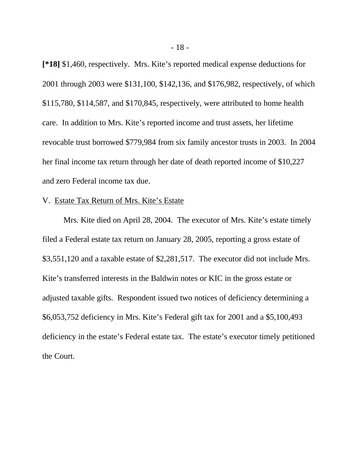**[\*18]** \$1,460, respectively. Mrs. Kite's reported medical expense deductions for 2001 through 2003 were \$131,100, \$142,136, and \$176,982, respectively, of which \$115,780, \$114,587, and \$170,845, respectively, were attributed to home health care. In addition to Mrs. Kite's reported income and trust assets, her lifetime revocable trust borrowed \$779,984 from six family ancestor trusts in 2003. In 2004 her final income tax return through her date of death reported income of \$10,227 and zero Federal income tax due.

#### V. Estate Tax Return of Mrs. Kite's Estate

Mrs. Kite died on April 28, 2004. The executor of Mrs. Kite's estate timely filed a Federal estate tax return on January 28, 2005, reporting a gross estate of \$3,551,120 and a taxable estate of \$2,281,517. The executor did not include Mrs. Kite's transferred interests in the Baldwin notes or KIC in the gross estate or adjusted taxable gifts. Respondent issued two notices of deficiency determining a \$6,053,752 deficiency in Mrs. Kite's Federal gift tax for 2001 and a \$5,100,493 deficiency in the estate's Federal estate tax. The estate's executor timely petitioned the Court.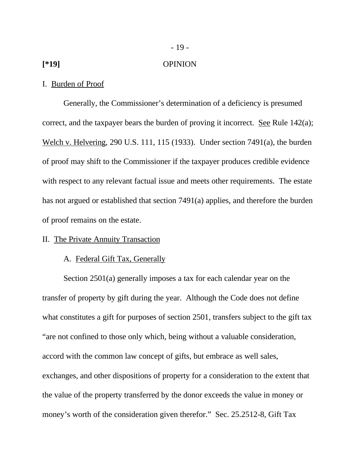#### **[\*19]** OPINION

#### I. Burden of Proof

Generally, the Commissioner's determination of a deficiency is presumed correct, and the taxpayer bears the burden of proving it incorrect. See Rule 142(a); Welch v. Helvering, 290 U.S. 111, 115 (1933). Under section 7491(a), the burden of proof may shift to the Commissioner if the taxpayer produces credible evidence with respect to any relevant factual issue and meets other requirements. The estate has not argued or established that section 7491(a) applies, and therefore the burden of proof remains on the estate.

## II. The Private Annuity Transaction

## A. Federal Gift Tax, Generally

Section 2501(a) generally imposes a tax for each calendar year on the transfer of property by gift during the year. Although the Code does not define what constitutes a gift for purposes of section 2501, transfers subject to the gift tax "are not confined to those only which, being without a valuable consideration, accord with the common law concept of gifts, but embrace as well sales, exchanges, and other dispositions of property for a consideration to the extent that the value of the property transferred by the donor exceeds the value in money or money's worth of the consideration given therefor." Sec. 25.2512-8, Gift Tax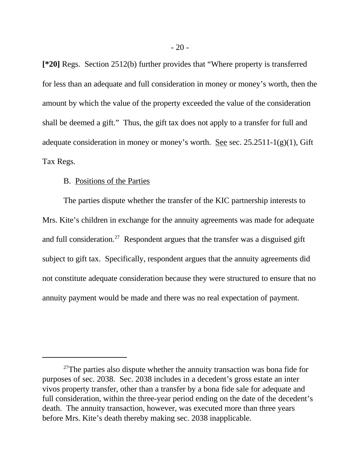**[\*20]** Regs. Section 2512(b) further provides that "Where property is transferred for less than an adequate and full consideration in money or money's worth, then the amount by which the value of the property exceeded the value of the consideration shall be deemed a gift." Thus, the gift tax does not apply to a transfer for full and adequate consideration in money or money's worth. See sec.  $25.2511-1(g)(1)$ , Gift Tax Regs.

## B. Positions of the Parties

The parties dispute whether the transfer of the KIC partnership interests to Mrs. Kite's children in exchange for the annuity agreements was made for adequate and full consideration.<sup>27</sup> Respondent argues that the transfer was a disguised gift subject to gift tax. Specifically, respondent argues that the annuity agreements did not constitute adequate consideration because they were structured to ensure that no annuity payment would be made and there was no real expectation of payment.

 $27$ The parties also dispute whether the annuity transaction was bona fide for purposes of sec. 2038. Sec. 2038 includes in a decedent's gross estate an inter vivos property transfer, other than a transfer by a bona fide sale for adequate and full consideration, within the three-year period ending on the date of the decedent's death. The annuity transaction, however, was executed more than three years before Mrs. Kite's death thereby making sec. 2038 inapplicable.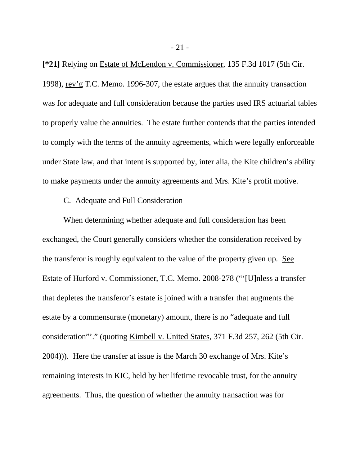**[\*21]** Relying on Estate of McLendon v. Commissioner, 135 F.3d 1017 (5th Cir. 1998), rev'g T.C. Memo. 1996-307, the estate argues that the annuity transaction was for adequate and full consideration because the parties used IRS actuarial tables to properly value the annuities. The estate further contends that the parties intended to comply with the terms of the annuity agreements, which were legally enforceable under State law, and that intent is supported by, inter alia, the Kite children's ability to make payments under the annuity agreements and Mrs. Kite's profit motive.

#### C. Adequate and Full Consideration

When determining whether adequate and full consideration has been exchanged, the Court generally considers whether the consideration received by the transferor is roughly equivalent to the value of the property given up. See Estate of Hurford v. Commissioner, T.C. Memo. 2008-278 ("'[U]nless a transfer that depletes the transferor's estate is joined with a transfer that augments the estate by a commensurate (monetary) amount, there is no "adequate and full consideration"'." (quoting Kimbell v. United States, 371 F.3d 257, 262 (5th Cir. 2004))). Here the transfer at issue is the March 30 exchange of Mrs. Kite's remaining interests in KIC, held by her lifetime revocable trust, for the annuity agreements. Thus, the question of whether the annuity transaction was for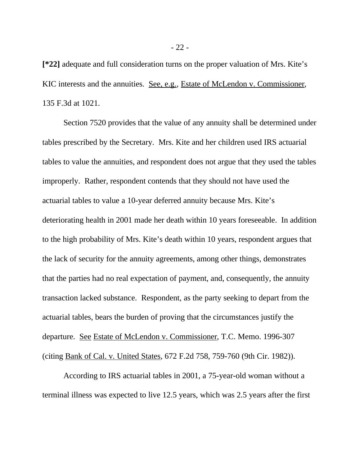**[\*22]** adequate and full consideration turns on the proper valuation of Mrs. Kite's KIC interests and the annuities. See, e.g., Estate of McLendon v. Commissioner, 135 F.3d at 1021.

Section 7520 provides that the value of any annuity shall be determined under tables prescribed by the Secretary. Mrs. Kite and her children used IRS actuarial tables to value the annuities, and respondent does not argue that they used the tables improperly. Rather, respondent contends that they should not have used the actuarial tables to value a 10-year deferred annuity because Mrs. Kite's deteriorating health in 2001 made her death within 10 years foreseeable. In addition to the high probability of Mrs. Kite's death within 10 years, respondent argues that the lack of security for the annuity agreements, among other things, demonstrates that the parties had no real expectation of payment, and, consequently, the annuity transaction lacked substance. Respondent, as the party seeking to depart from the actuarial tables, bears the burden of proving that the circumstances justify the departure. See Estate of McLendon v. Commissioner, T.C. Memo. 1996-307 (citing Bank of Cal. v. United States, 672 F.2d 758, 759-760 (9th Cir. 1982)).

According to IRS actuarial tables in 2001, a 75-year-old woman without a terminal illness was expected to live 12.5 years, which was 2.5 years after the first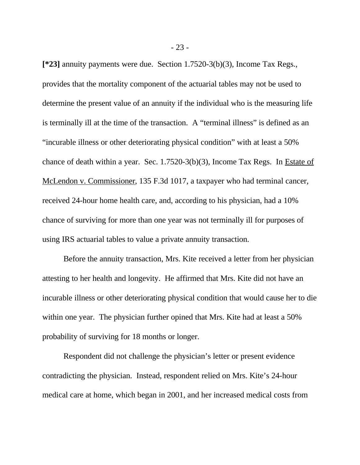**[\*23]** annuity payments were due. Section 1.7520-3(b)(3), Income Tax Regs., provides that the mortality component of the actuarial tables may not be used to determine the present value of an annuity if the individual who is the measuring life is terminally ill at the time of the transaction. A "terminal illness" is defined as an "incurable illness or other deteriorating physical condition" with at least a 50% chance of death within a year. Sec. 1.7520-3(b)(3), Income Tax Regs. In Estate of McLendon v. Commissioner, 135 F.3d 1017, a taxpayer who had terminal cancer, received 24-hour home health care, and, according to his physician, had a 10% chance of surviving for more than one year was not terminally ill for purposes of using IRS actuarial tables to value a private annuity transaction.

Before the annuity transaction, Mrs. Kite received a letter from her physician attesting to her health and longevity. He affirmed that Mrs. Kite did not have an incurable illness or other deteriorating physical condition that would cause her to die within one year. The physician further opined that Mrs. Kite had at least a 50% probability of surviving for 18 months or longer.

Respondent did not challenge the physician's letter or present evidence contradicting the physician. Instead, respondent relied on Mrs. Kite's 24-hour medical care at home, which began in 2001, and her increased medical costs from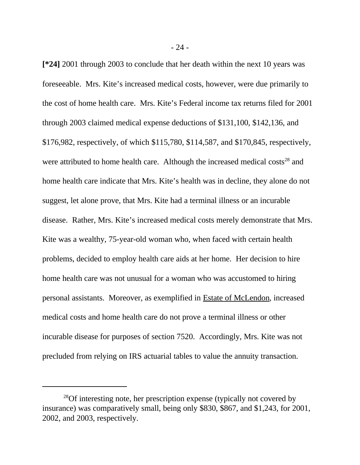**[\*24]** 2001 through 2003 to conclude that her death within the next 10 years was foreseeable. Mrs. Kite's increased medical costs, however, were due primarily to the cost of home health care. Mrs. Kite's Federal income tax returns filed for 2001 through 2003 claimed medical expense deductions of \$131,100, \$142,136, and \$176,982, respectively, of which \$115,780, \$114,587, and \$170,845, respectively, were attributed to home health care. Although the increased medical costs<sup>28</sup> and home health care indicate that Mrs. Kite's health was in decline, they alone do not suggest, let alone prove, that Mrs. Kite had a terminal illness or an incurable disease. Rather, Mrs. Kite's increased medical costs merely demonstrate that Mrs. Kite was a wealthy, 75-year-old woman who, when faced with certain health problems, decided to employ health care aids at her home. Her decision to hire home health care was not unusual for a woman who was accustomed to hiring personal assistants. Moreover, as exemplified in Estate of McLendon, increased medical costs and home health care do not prove a terminal illness or other incurable disease for purposes of section 7520. Accordingly, Mrs. Kite was not precluded from relying on IRS actuarial tables to value the annuity transaction.

<sup>&</sup>lt;sup>28</sup>Of interesting note, her prescription expense (typically not covered by insurance) was comparatively small, being only \$830, \$867, and \$1,243, for 2001, 2002, and 2003, respectively.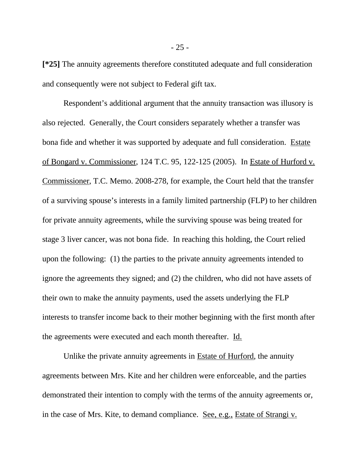**[\*25]** The annuity agreements therefore constituted adequate and full consideration and consequently were not subject to Federal gift tax.

Respondent's additional argument that the annuity transaction was illusory is also rejected. Generally, the Court considers separately whether a transfer was bona fide and whether it was supported by adequate and full consideration. Estate of Bongard v. Commissioner, 124 T.C. 95, 122-125 (2005). In Estate of Hurford v. Commissioner, T.C. Memo. 2008-278, for example, the Court held that the transfer of a surviving spouse's interests in a family limited partnership (FLP) to her children for private annuity agreements, while the surviving spouse was being treated for stage 3 liver cancer, was not bona fide. In reaching this holding, the Court relied upon the following: (1) the parties to the private annuity agreements intended to ignore the agreements they signed; and (2) the children, who did not have assets of their own to make the annuity payments, used the assets underlying the FLP interests to transfer income back to their mother beginning with the first month after the agreements were executed and each month thereafter. Id.

Unlike the private annuity agreements in Estate of Hurford, the annuity agreements between Mrs. Kite and her children were enforceable, and the parties demonstrated their intention to comply with the terms of the annuity agreements or, in the case of Mrs. Kite, to demand compliance. See, e.g., Estate of Strangi v.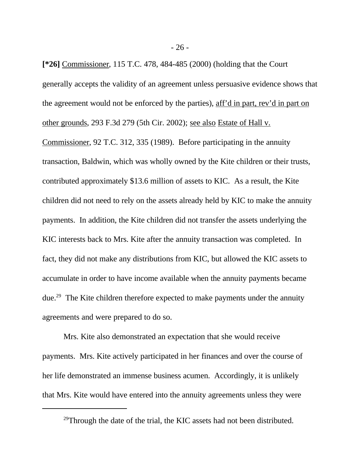**[\*26]** Commissioner, 115 T.C. 478, 484-485 (2000) (holding that the Court generally accepts the validity of an agreement unless persuasive evidence shows that the agreement would not be enforced by the parties), aff'd in part, rev'd in part on other grounds, 293 F.3d 279 (5th Cir. 2002); see also Estate of Hall v. Commissioner, 92 T.C. 312, 335 (1989). Before participating in the annuity transaction, Baldwin, which was wholly owned by the Kite children or their trusts, contributed approximately \$13.6 million of assets to KIC. As a result, the Kite children did not need to rely on the assets already held by KIC to make the annuity payments. In addition, the Kite children did not transfer the assets underlying the KIC interests back to Mrs. Kite after the annuity transaction was completed. In fact, they did not make any distributions from KIC, but allowed the KIC assets to accumulate in order to have income available when the annuity payments became due.<sup>29</sup> The Kite children therefore expected to make payments under the annuity agreements and were prepared to do so.

Mrs. Kite also demonstrated an expectation that she would receive payments. Mrs. Kite actively participated in her finances and over the course of her life demonstrated an immense business acumen. Accordingly, it is unlikely that Mrs. Kite would have entered into the annuity agreements unless they were

 $^{29}$ Through the date of the trial, the KIC assets had not been distributed.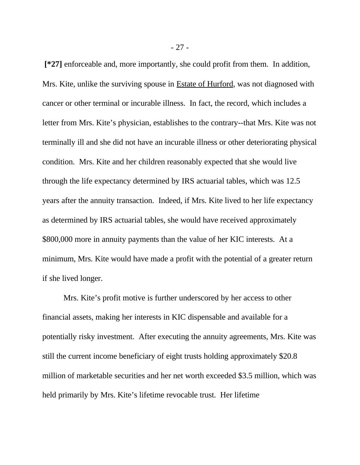**[\*27]** enforceable and, more importantly, she could profit from them. In addition, Mrs. Kite, unlike the surviving spouse in Estate of Hurford, was not diagnosed with cancer or other terminal or incurable illness. In fact, the record, which includes a letter from Mrs. Kite's physician, establishes to the contrary--that Mrs. Kite was not terminally ill and she did not have an incurable illness or other deteriorating physical condition. Mrs. Kite and her children reasonably expected that she would live through the life expectancy determined by IRS actuarial tables, which was 12.5 years after the annuity transaction. Indeed, if Mrs. Kite lived to her life expectancy as determined by IRS actuarial tables, she would have received approximately \$800,000 more in annuity payments than the value of her KIC interests. At a minimum, Mrs. Kite would have made a profit with the potential of a greater return if she lived longer.

Mrs. Kite's profit motive is further underscored by her access to other financial assets, making her interests in KIC dispensable and available for a potentially risky investment. After executing the annuity agreements, Mrs. Kite was still the current income beneficiary of eight trusts holding approximately \$20.8 million of marketable securities and her net worth exceeded \$3.5 million, which was held primarily by Mrs. Kite's lifetime revocable trust. Her lifetime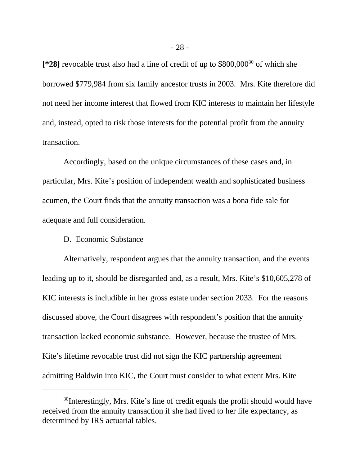**[\*28]** revocable trust also had a line of credit of up to \$800,000<sup>30</sup> of which she borrowed \$779,984 from six family ancestor trusts in 2003. Mrs. Kite therefore did not need her income interest that flowed from KIC interests to maintain her lifestyle and, instead, opted to risk those interests for the potential profit from the annuity transaction.

Accordingly, based on the unique circumstances of these cases and, in particular, Mrs. Kite's position of independent wealth and sophisticated business acumen, the Court finds that the annuity transaction was a bona fide sale for adequate and full consideration.

## D. Economic Substance

Alternatively, respondent argues that the annuity transaction, and the events leading up to it, should be disregarded and, as a result, Mrs. Kite's \$10,605,278 of KIC interests is includible in her gross estate under section 2033. For the reasons discussed above, the Court disagrees with respondent's position that the annuity transaction lacked economic substance. However, because the trustee of Mrs. Kite's lifetime revocable trust did not sign the KIC partnership agreement admitting Baldwin into KIC, the Court must consider to what extent Mrs. Kite

<sup>&</sup>lt;sup>30</sup>Interestingly, Mrs. Kite's line of credit equals the profit should would have received from the annuity transaction if she had lived to her life expectancy, as determined by IRS actuarial tables.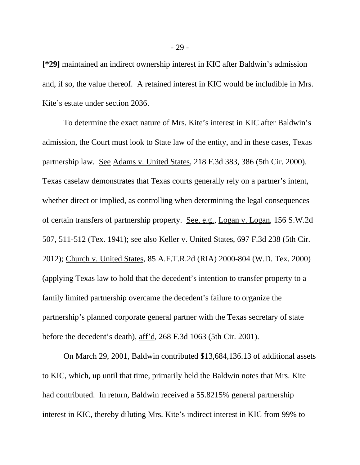**[\*29]** maintained an indirect ownership interest in KIC after Baldwin's admission and, if so, the value thereof. A retained interest in KIC would be includible in Mrs. Kite's estate under section 2036.

To determine the exact nature of Mrs. Kite's interest in KIC after Baldwin's admission, the Court must look to State law of the entity, and in these cases, Texas partnership law. See Adams v. United States, 218 F.3d 383, 386 (5th Cir. 2000). Texas caselaw demonstrates that Texas courts generally rely on a partner's intent, whether direct or implied, as controlling when determining the legal consequences of certain transfers of partnership property. See, e.g., Logan v. Logan, 156 S.W.2d 507, 511-512 (Tex. 1941); see also Keller v. United States, 697 F.3d 238 (5th Cir. 2012); Church v. United States, 85 A.F.T.R.2d (RIA) 2000-804 (W.D. Tex. 2000) (applying Texas law to hold that the decedent's intention to transfer property to a family limited partnership overcame the decedent's failure to organize the partnership's planned corporate general partner with the Texas secretary of state before the decedent's death), aff'd, 268 F.3d 1063 (5th Cir. 2001).

On March 29, 2001, Baldwin contributed \$13,684,136.13 of additional assets to KIC, which, up until that time, primarily held the Baldwin notes that Mrs. Kite had contributed. In return, Baldwin received a 55.8215% general partnership interest in KIC, thereby diluting Mrs. Kite's indirect interest in KIC from 99% to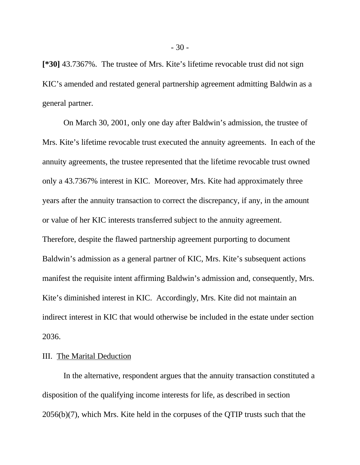**[\*30]** 43.7367%. The trustee of Mrs. Kite's lifetime revocable trust did not sign KIC's amended and restated general partnership agreement admitting Baldwin as a general partner.

On March 30, 2001, only one day after Baldwin's admission, the trustee of Mrs. Kite's lifetime revocable trust executed the annuity agreements. In each of the annuity agreements, the trustee represented that the lifetime revocable trust owned only a 43.7367% interest in KIC. Moreover, Mrs. Kite had approximately three years after the annuity transaction to correct the discrepancy, if any, in the amount or value of her KIC interests transferred subject to the annuity agreement. Therefore, despite the flawed partnership agreement purporting to document Baldwin's admission as a general partner of KIC, Mrs. Kite's subsequent actions manifest the requisite intent affirming Baldwin's admission and, consequently, Mrs. Kite's diminished interest in KIC. Accordingly, Mrs. Kite did not maintain an indirect interest in KIC that would otherwise be included in the estate under section 2036.

## III. The Marital Deduction

In the alternative, respondent argues that the annuity transaction constituted a disposition of the qualifying income interests for life, as described in section 2056(b)(7), which Mrs. Kite held in the corpuses of the QTIP trusts such that the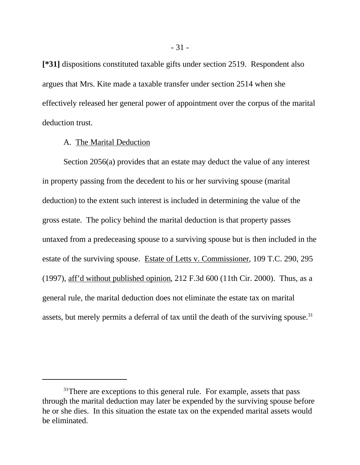**[\*31]** dispositions constituted taxable gifts under section 2519. Respondent also argues that Mrs. Kite made a taxable transfer under section 2514 when she effectively released her general power of appointment over the corpus of the marital deduction trust.

## A. The Marital Deduction

Section 2056(a) provides that an estate may deduct the value of any interest in property passing from the decedent to his or her surviving spouse (marital deduction) to the extent such interest is included in determining the value of the gross estate. The policy behind the marital deduction is that property passes untaxed from a predeceasing spouse to a surviving spouse but is then included in the estate of the surviving spouse. Estate of Letts v. Commissioner, 109 T.C. 290, 295 (1997), aff'd without published opinion, 212 F.3d 600 (11th Cir. 2000). Thus, as a general rule, the marital deduction does not eliminate the estate tax on marital assets, but merely permits a deferral of tax until the death of the surviving spouse.<sup>31</sup>

 $31$ There are exceptions to this general rule. For example, assets that pass through the marital deduction may later be expended by the surviving spouse before he or she dies. In this situation the estate tax on the expended marital assets would be eliminated.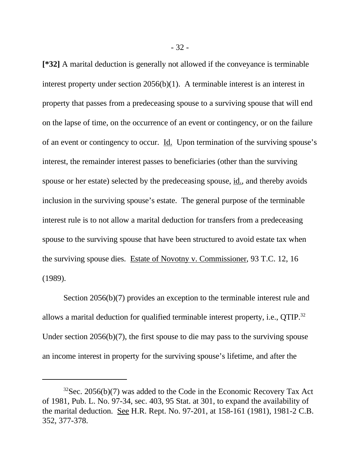**[\*32]** A marital deduction is generally not allowed if the conveyance is terminable interest property under section 2056(b)(1). A terminable interest is an interest in property that passes from a predeceasing spouse to a surviving spouse that will end on the lapse of time, on the occurrence of an event or contingency, or on the failure of an event or contingency to occur. Id. Upon termination of the surviving spouse's interest, the remainder interest passes to beneficiaries (other than the surviving spouse or her estate) selected by the predeceasing spouse, id., and thereby avoids inclusion in the surviving spouse's estate. The general purpose of the terminable interest rule is to not allow a marital deduction for transfers from a predeceasing spouse to the surviving spouse that have been structured to avoid estate tax when the surviving spouse dies. Estate of Novotny v. Commissioner, 93 T.C. 12, 16 (1989).

Section 2056(b)(7) provides an exception to the terminable interest rule and allows a marital deduction for qualified terminable interest property, i.e., QTIP.<sup>32</sup> Under section 2056(b)(7), the first spouse to die may pass to the surviving spouse an income interest in property for the surviving spouse's lifetime, and after the

 $32$ Sec. 2056(b)(7) was added to the Code in the Economic Recovery Tax Act of 1981, Pub. L. No. 97-34, sec. 403, 95 Stat. at 301, to expand the availability of the marital deduction. See H.R. Rept. No. 97-201, at 158-161 (1981), 1981-2 C.B. 352, 377-378.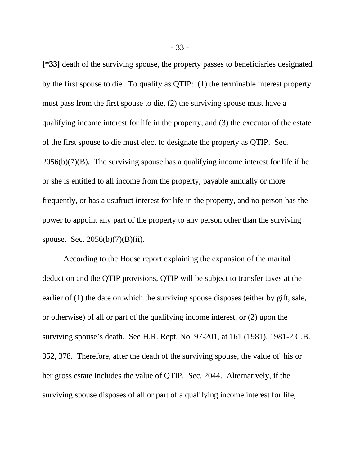**[\*33]** death of the surviving spouse, the property passes to beneficiaries designated by the first spouse to die. To qualify as QTIP: (1) the terminable interest property must pass from the first spouse to die, (2) the surviving spouse must have a qualifying income interest for life in the property, and (3) the executor of the estate of the first spouse to die must elect to designate the property as QTIP. Sec.  $2056(b)(7)(B)$ . The surviving spouse has a qualifying income interest for life if he or she is entitled to all income from the property, payable annually or more frequently, or has a usufruct interest for life in the property, and no person has the power to appoint any part of the property to any person other than the surviving spouse. Sec. 2056(b)(7)(B)(ii).

According to the House report explaining the expansion of the marital deduction and the QTIP provisions, QTIP will be subject to transfer taxes at the earlier of (1) the date on which the surviving spouse disposes (either by gift, sale, or otherwise) of all or part of the qualifying income interest, or (2) upon the surviving spouse's death. See H.R. Rept. No. 97-201, at 161 (1981), 1981-2 C.B. 352, 378. Therefore, after the death of the surviving spouse, the value of his or her gross estate includes the value of QTIP. Sec. 2044. Alternatively, if the surviving spouse disposes of all or part of a qualifying income interest for life,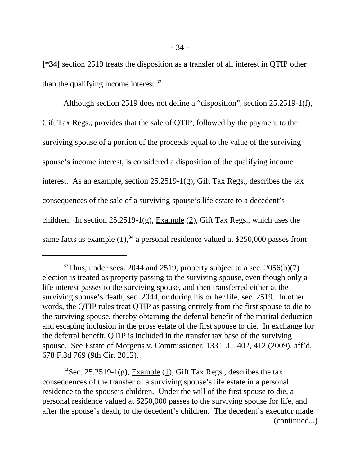**[\*34]** section 2519 treats the disposition as a transfer of all interest in QTIP other than the qualifying income interest.<sup>33</sup>

Although section 2519 does not define a "disposition", section 25.2519-1(f), Gift Tax Regs., provides that the sale of QTIP, followed by the payment to the surviving spouse of a portion of the proceeds equal to the value of the surviving spouse's income interest, is considered a disposition of the qualifying income interest. As an example, section  $25.2519-1(g)$ , Gift Tax Regs., describes the tax consequences of the sale of a surviving spouse's life estate to a decedent's children. In section 25.2519-1(g), Example  $(2)$ , Gift Tax Regs., which uses the same facts as example  $(1)$ ,<sup>34</sup> a personal residence valued at \$250,000 passes from

 $33$ Thus, under secs. 2044 and 2519, property subject to a sec. 2056(b)(7) election is treated as property passing to the surviving spouse, even though only a life interest passes to the surviving spouse, and then transferred either at the surviving spouse's death, sec. 2044, or during his or her life, sec. 2519. In other words, the QTIP rules treat QTIP as passing entirely from the first spouse to die to the surviving spouse, thereby obtaining the deferral benefit of the marital deduction and escaping inclusion in the gross estate of the first spouse to die. In exchange for the deferral benefit, QTIP is included in the transfer tax base of the surviving spouse. See Estate of Morgens v. Commissioner, 133 T.C. 402, 412 (2009), aff'd, 678 F.3d 769 (9th Cir. 2012).

<sup>&</sup>lt;sup>34</sup>Sec. 25.2519-1(g), Example (1), Gift Tax Regs., describes the tax consequences of the transfer of a surviving spouse's life estate in a personal residence to the spouse's children. Under the will of the first spouse to die, a personal residence valued at \$250,000 passes to the surviving spouse for life, and after the spouse's death, to the decedent's children. The decedent's executor made (continued...)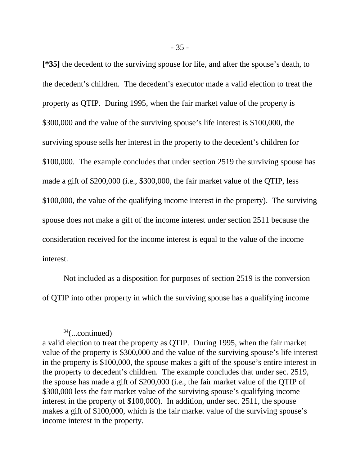**[\*35]** the decedent to the surviving spouse for life, and after the spouse's death, to the decedent's children. The decedent's executor made a valid election to treat the property as QTIP. During 1995, when the fair market value of the property is \$300,000 and the value of the surviving spouse's life interest is \$100,000, the surviving spouse sells her interest in the property to the decedent's children for \$100,000. The example concludes that under section 2519 the surviving spouse has made a gift of \$200,000 (i.e., \$300,000, the fair market value of the QTIP, less \$100,000, the value of the qualifying income interest in the property). The surviving spouse does not make a gift of the income interest under section 2511 because the consideration received for the income interest is equal to the value of the income interest.

Not included as a disposition for purposes of section 2519 is the conversion of QTIP into other property in which the surviving spouse has a qualifying income

 $34$ (...continued)

a valid election to treat the property as QTIP. During 1995, when the fair market value of the property is \$300,000 and the value of the surviving spouse's life interest in the property is \$100,000, the spouse makes a gift of the spouse's entire interest in the property to decedent's children. The example concludes that under sec. 2519, the spouse has made a gift of \$200,000 (i.e., the fair market value of the QTIP of \$300,000 less the fair market value of the surviving spouse's qualifying income interest in the property of \$100,000). In addition, under sec. 2511, the spouse makes a gift of \$100,000, which is the fair market value of the surviving spouse's income interest in the property.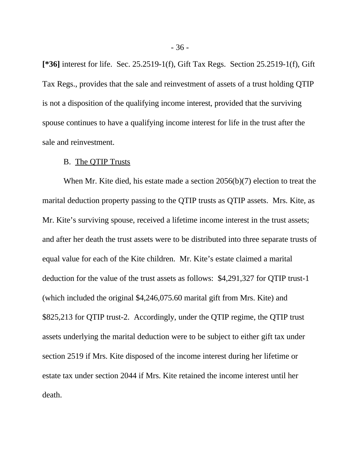**[\*36]** interest for life. Sec. 25.2519-1(f), Gift Tax Regs. Section 25.2519-1(f), Gift Tax Regs., provides that the sale and reinvestment of assets of a trust holding QTIP is not a disposition of the qualifying income interest, provided that the surviving spouse continues to have a qualifying income interest for life in the trust after the sale and reinvestment.

#### B. The QTIP Trusts

When Mr. Kite died, his estate made a section 2056(b)(7) election to treat the marital deduction property passing to the QTIP trusts as QTIP assets. Mrs. Kite, as Mr. Kite's surviving spouse, received a lifetime income interest in the trust assets; and after her death the trust assets were to be distributed into three separate trusts of equal value for each of the Kite children. Mr. Kite's estate claimed a marital deduction for the value of the trust assets as follows: \$4,291,327 for QTIP trust-1 (which included the original \$4,246,075.60 marital gift from Mrs. Kite) and \$825,213 for QTIP trust-2. Accordingly, under the QTIP regime, the QTIP trust assets underlying the marital deduction were to be subject to either gift tax under section 2519 if Mrs. Kite disposed of the income interest during her lifetime or estate tax under section 2044 if Mrs. Kite retained the income interest until her death.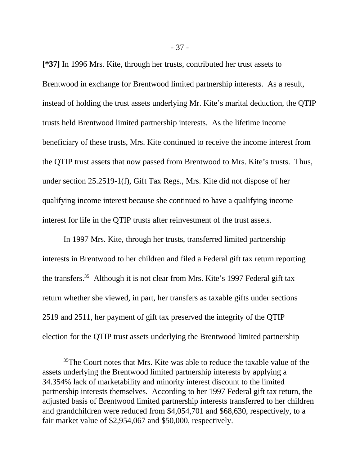**[\*37]** In 1996 Mrs. Kite, through her trusts, contributed her trust assets to Brentwood in exchange for Brentwood limited partnership interests. As a result, instead of holding the trust assets underlying Mr. Kite's marital deduction, the QTIP trusts held Brentwood limited partnership interests. As the lifetime income beneficiary of these trusts, Mrs. Kite continued to receive the income interest from the QTIP trust assets that now passed from Brentwood to Mrs. Kite's trusts. Thus, under section 25.2519-1(f), Gift Tax Regs., Mrs. Kite did not dispose of her qualifying income interest because she continued to have a qualifying income interest for life in the QTIP trusts after reinvestment of the trust assets.

In 1997 Mrs. Kite, through her trusts, transferred limited partnership interests in Brentwood to her children and filed a Federal gift tax return reporting the transfers.<sup>35</sup> Although it is not clear from Mrs. Kite's 1997 Federal gift tax return whether she viewed, in part, her transfers as taxable gifts under sections 2519 and 2511, her payment of gift tax preserved the integrity of the QTIP election for the QTIP trust assets underlying the Brentwood limited partnership

<sup>&</sup>lt;sup>35</sup>The Court notes that Mrs. Kite was able to reduce the taxable value of the assets underlying the Brentwood limited partnership interests by applying a 34.354% lack of marketability and minority interest discount to the limited partnership interests themselves. According to her 1997 Federal gift tax return, the adjusted basis of Brentwood limited partnership interests transferred to her children and grandchildren were reduced from \$4,054,701 and \$68,630, respectively, to a fair market value of \$2,954,067 and \$50,000, respectively.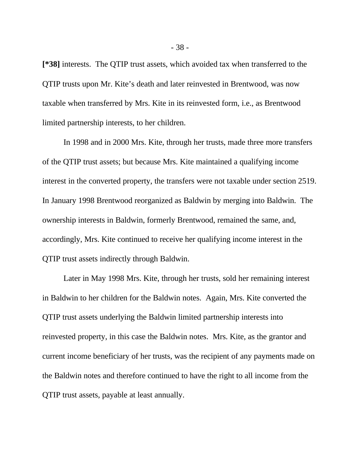**[\*38]** interests. The QTIP trust assets, which avoided tax when transferred to the QTIP trusts upon Mr. Kite's death and later reinvested in Brentwood, was now taxable when transferred by Mrs. Kite in its reinvested form, i.e., as Brentwood limited partnership interests, to her children.

In 1998 and in 2000 Mrs. Kite, through her trusts, made three more transfers of the QTIP trust assets; but because Mrs. Kite maintained a qualifying income interest in the converted property, the transfers were not taxable under section 2519. In January 1998 Brentwood reorganized as Baldwin by merging into Baldwin. The ownership interests in Baldwin, formerly Brentwood, remained the same, and, accordingly, Mrs. Kite continued to receive her qualifying income interest in the QTIP trust assets indirectly through Baldwin.

Later in May 1998 Mrs. Kite, through her trusts, sold her remaining interest in Baldwin to her children for the Baldwin notes. Again, Mrs. Kite converted the QTIP trust assets underlying the Baldwin limited partnership interests into reinvested property, in this case the Baldwin notes. Mrs. Kite, as the grantor and current income beneficiary of her trusts, was the recipient of any payments made on the Baldwin notes and therefore continued to have the right to all income from the QTIP trust assets, payable at least annually.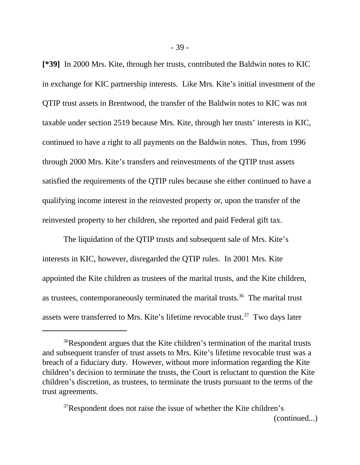**[\*39]** In 2000 Mrs. Kite, through her trusts, contributed the Baldwin notes to KIC in exchange for KIC partnership interests. Like Mrs. Kite's initial investment of the QTIP trust assets in Brentwood, the transfer of the Baldwin notes to KIC was not taxable under section 2519 because Mrs. Kite, through her trusts' interests in KIC, continued to have a right to all payments on the Baldwin notes. Thus, from 1996 through 2000 Mrs. Kite's transfers and reinvestments of the QTIP trust assets satisfied the requirements of the QTIP rules because she either continued to have a qualifying income interest in the reinvested property or, upon the transfer of the reinvested property to her children, she reported and paid Federal gift tax.

The liquidation of the QTIP trusts and subsequent sale of Mrs. Kite's interests in KIC, however, disregarded the QTIP rules. In 2001 Mrs. Kite appointed the Kite children as trustees of the marital trusts, and the Kite children, as trustees, contemporaneously terminated the marital trusts.<sup>36</sup> The marital trust assets were transferred to Mrs. Kite's lifetime revocable trust.<sup>37</sup> Two days later

<sup>36</sup>Respondent argues that the Kite children's termination of the marital trusts and subsequent transfer of trust assets to Mrs. Kite's lifetime revocable trust was a breach of a fiduciary duty. However, without more information regarding the Kite children's decision to terminate the trusts, the Court is reluctant to question the Kite children's discretion, as trustees, to terminate the trusts pursuant to the terms of the trust agreements.

<sup>&</sup>lt;sup>37</sup>Respondent does not raise the issue of whether the Kite children's (continued...)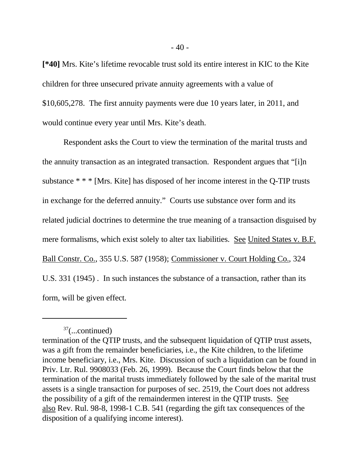**[\*40]** Mrs. Kite's lifetime revocable trust sold its entire interest in KIC to the Kite children for three unsecured private annuity agreements with a value of \$10,605,278. The first annuity payments were due 10 years later, in 2011, and would continue every year until Mrs. Kite's death.

Respondent asks the Court to view the termination of the marital trusts and the annuity transaction as an integrated transaction. Respondent argues that "[i]n substance \* \* \* [Mrs. Kite] has disposed of her income interest in the Q-TIP trusts in exchange for the deferred annuity." Courts use substance over form and its related judicial doctrines to determine the true meaning of a transaction disguised by mere formalisms, which exist solely to alter tax liabilities. See United States v. B.F. Ball Constr. Co., 355 U.S. 587 (1958); Commissioner v. Court Holding Co., 324 U.S. 331 (1945) . In such instances the substance of a transaction, rather than its form, will be given effect.

 $37$ (...continued)

termination of the QTIP trusts, and the subsequent liquidation of QTIP trust assets, was a gift from the remainder beneficiaries, i.e., the Kite children, to the lifetime income beneficiary, i.e., Mrs. Kite. Discussion of such a liquidation can be found in Priv. Ltr. Rul. 9908033 (Feb. 26, 1999). Because the Court finds below that the termination of the marital trusts immediately followed by the sale of the marital trust assets is a single transaction for purposes of sec. 2519, the Court does not address the possibility of a gift of the remaindermen interest in the QTIP trusts. See also Rev. Rul. 98-8, 1998-1 C.B. 541 (regarding the gift tax consequences of the disposition of a qualifying income interest).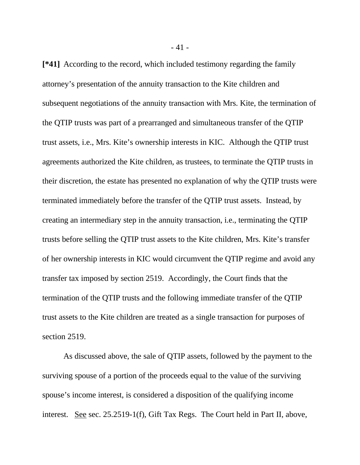**[\*41]** According to the record, which included testimony regarding the family attorney's presentation of the annuity transaction to the Kite children and subsequent negotiations of the annuity transaction with Mrs. Kite, the termination of the QTIP trusts was part of a prearranged and simultaneous transfer of the QTIP trust assets, i.e., Mrs. Kite's ownership interests in KIC. Although the QTIP trust agreements authorized the Kite children, as trustees, to terminate the QTIP trusts in their discretion, the estate has presented no explanation of why the QTIP trusts were terminated immediately before the transfer of the QTIP trust assets. Instead, by creating an intermediary step in the annuity transaction, i.e., terminating the QTIP trusts before selling the QTIP trust assets to the Kite children, Mrs. Kite's transfer of her ownership interests in KIC would circumvent the QTIP regime and avoid any transfer tax imposed by section 2519. Accordingly, the Court finds that the termination of the QTIP trusts and the following immediate transfer of the QTIP trust assets to the Kite children are treated as a single transaction for purposes of section 2519.

As discussed above, the sale of QTIP assets, followed by the payment to the surviving spouse of a portion of the proceeds equal to the value of the surviving spouse's income interest, is considered a disposition of the qualifying income interest. See sec. 25.2519-1(f), Gift Tax Regs. The Court held in Part II, above,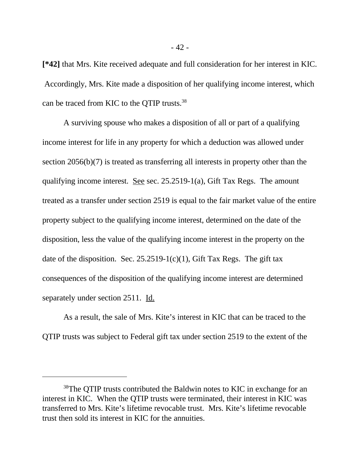**[\*42]** that Mrs. Kite received adequate and full consideration for her interest in KIC. Accordingly, Mrs. Kite made a disposition of her qualifying income interest, which can be traced from KIC to the QTIP trusts.<sup>38</sup>

A surviving spouse who makes a disposition of all or part of a qualifying income interest for life in any property for which a deduction was allowed under section 2056(b)(7) is treated as transferring all interests in property other than the qualifying income interest. See sec. 25.2519-1(a), Gift Tax Regs. The amount treated as a transfer under section 2519 is equal to the fair market value of the entire property subject to the qualifying income interest, determined on the date of the disposition, less the value of the qualifying income interest in the property on the date of the disposition. Sec.  $25.2519-1(c)(1)$ , Gift Tax Regs. The gift tax consequences of the disposition of the qualifying income interest are determined separately under section 2511. Id.

As a result, the sale of Mrs. Kite's interest in KIC that can be traced to the QTIP trusts was subject to Federal gift tax under section 2519 to the extent of the

<sup>&</sup>lt;sup>38</sup>The OTIP trusts contributed the Baldwin notes to KIC in exchange for an interest in KIC. When the QTIP trusts were terminated, their interest in KIC was transferred to Mrs. Kite's lifetime revocable trust. Mrs. Kite's lifetime revocable trust then sold its interest in KIC for the annuities.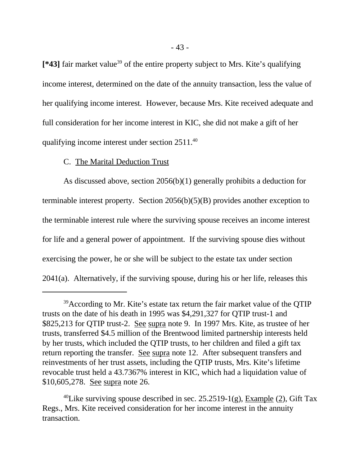[\*43] fair market value<sup>39</sup> of the entire property subject to Mrs. Kite's qualifying income interest, determined on the date of the annuity transaction, less the value of her qualifying income interest. However, because Mrs. Kite received adequate and full consideration for her income interest in KIC, she did not make a gift of her qualifying income interest under section 2511.<sup>40</sup>

## C. The Marital Deduction Trust

As discussed above, section 2056(b)(1) generally prohibits a deduction for terminable interest property. Section 2056(b)(5)(B) provides another exception to the terminable interest rule where the surviving spouse receives an income interest for life and a general power of appointment. If the surviving spouse dies without exercising the power, he or she will be subject to the estate tax under section  $2041(a)$ . Alternatively, if the surviving spouse, during his or her life, releases this

<sup>&</sup>lt;sup>39</sup>According to Mr. Kite's estate tax return the fair market value of the QTIP trusts on the date of his death in 1995 was \$4,291,327 for QTIP trust-1 and \$825,213 for QTIP trust-2. See supra note 9. In 1997 Mrs. Kite, as trustee of her trusts, transferred \$4.5 million of the Brentwood limited partnership interests held by her trusts, which included the QTIP trusts, to her children and filed a gift tax return reporting the transfer. See supra note 12. After subsequent transfers and reinvestments of her trust assets, including the QTIP trusts, Mrs. Kite's lifetime revocable trust held a 43.7367% interest in KIC, which had a liquidation value of \$10,605,278. See supra note 26.

<sup>&</sup>lt;sup>40</sup>Like surviving spouse described in sec. 25.2519-1(g), Example (2), Gift Tax Regs., Mrs. Kite received consideration for her income interest in the annuity transaction.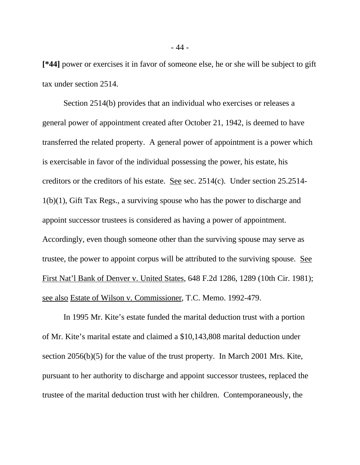**[\*44]** power or exercises it in favor of someone else, he or she will be subject to gift tax under section 2514.

Section 2514(b) provides that an individual who exercises or releases a general power of appointment created after October 21, 1942, is deemed to have transferred the related property. A general power of appointment is a power which is exercisable in favor of the individual possessing the power, his estate, his creditors or the creditors of his estate. See sec. 2514(c). Under section 25.2514- 1(b)(1), Gift Tax Regs., a surviving spouse who has the power to discharge and appoint successor trustees is considered as having a power of appointment. Accordingly, even though someone other than the surviving spouse may serve as trustee, the power to appoint corpus will be attributed to the surviving spouse. See First Nat'l Bank of Denver v. United States, 648 F.2d 1286, 1289 (10th Cir. 1981); see also Estate of Wilson v. Commissioner, T.C. Memo. 1992-479.

In 1995 Mr. Kite's estate funded the marital deduction trust with a portion of Mr. Kite's marital estate and claimed a \$10,143,808 marital deduction under section 2056(b)(5) for the value of the trust property. In March 2001 Mrs. Kite, pursuant to her authority to discharge and appoint successor trustees, replaced the trustee of the marital deduction trust with her children. Contemporaneously, the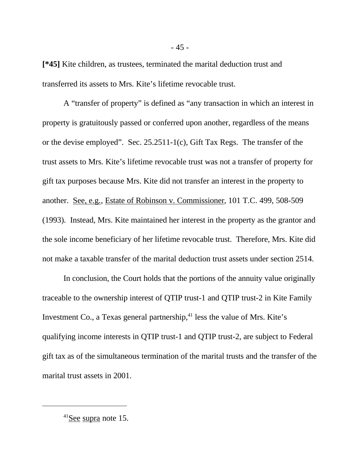**[\*45]** Kite children, as trustees, terminated the marital deduction trust and transferred its assets to Mrs. Kite's lifetime revocable trust.

A "transfer of property" is defined as "any transaction in which an interest in property is gratuitously passed or conferred upon another, regardless of the means or the devise employed". Sec. 25.2511-1(c), Gift Tax Regs. The transfer of the trust assets to Mrs. Kite's lifetime revocable trust was not a transfer of property for gift tax purposes because Mrs. Kite did not transfer an interest in the property to another. See, e.g., Estate of Robinson v. Commissioner, 101 T.C. 499, 508-509 (1993). Instead, Mrs. Kite maintained her interest in the property as the grantor and the sole income beneficiary of her lifetime revocable trust. Therefore, Mrs. Kite did not make a taxable transfer of the marital deduction trust assets under section 2514.

In conclusion, the Court holds that the portions of the annuity value originally traceable to the ownership interest of QTIP trust-1 and QTIP trust-2 in Kite Family Investment Co., a Texas general partnership, $^{41}$  less the value of Mrs. Kite's qualifying income interests in QTIP trust-1 and QTIP trust-2, are subject to Federal gift tax as of the simultaneous termination of the marital trusts and the transfer of the marital trust assets in 2001.

<sup>41</sup>See supra note 15.